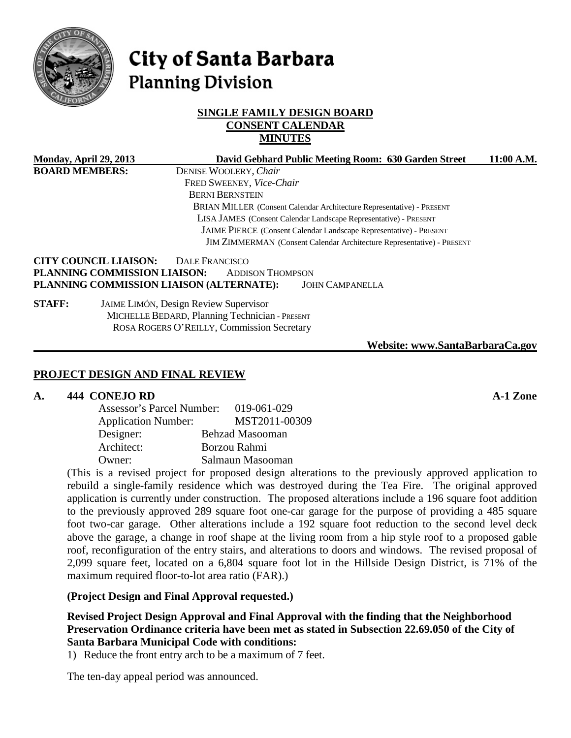

# **City of Santa Barbara Planning Division**

## **SINGLE FAMILY DESIGN BOARD CONSENT CALENDAR MINUTES**

| <b>Monday, April 29, 2013</b>                                    |                                                                    | David Gebhard Public Meeting Room: 630 Garden Street                                                                                         | 11:00 A.M. |  |
|------------------------------------------------------------------|--------------------------------------------------------------------|----------------------------------------------------------------------------------------------------------------------------------------------|------------|--|
| <b>BOARD MEMBERS:</b>                                            |                                                                    | DENISE WOOLERY, Chair                                                                                                                        |            |  |
|                                                                  |                                                                    | FRED SWEENEY, Vice-Chair                                                                                                                     |            |  |
|                                                                  |                                                                    | <b>BERNI BERNSTEIN</b>                                                                                                                       |            |  |
|                                                                  |                                                                    | BRIAN MILLER (Consent Calendar Architecture Representative) - PRESENT                                                                        |            |  |
| LISA JAMES (Consent Calendar Landscape Representative) - PRESENT |                                                                    |                                                                                                                                              |            |  |
|                                                                  | JAIME PIERCE (Consent Calendar Landscape Representative) - PRESENT |                                                                                                                                              |            |  |
|                                                                  |                                                                    | JIM ZIMMERMAN (Consent Calendar Architecture Representative) - PRESENT                                                                       |            |  |
|                                                                  | <b>CITY COUNCIL LIAISON:</b><br>PLANNING COMMISSION LIAISON:       | DALE FRANCISCO<br><b>ADDISON THOMPSON</b><br>PLANNING COMMISSION LIAISON (ALTERNATE):<br><b>JOHN CAMPANELLA</b>                              |            |  |
| <b>STAFF:</b>                                                    |                                                                    | <b>JAIME LIMÓN, Design Review Supervisor</b><br>MICHELLE BEDARD, Planning Technician - PRESENT<br>ROSA ROGERS O'REILLY, Commission Secretary |            |  |
|                                                                  |                                                                    | Website: www.SantaBarbaraCa.gov                                                                                                              |            |  |
|                                                                  |                                                                    |                                                                                                                                              |            |  |

## **PROJECT DESIGN AND FINAL REVIEW**

#### **A. 444 CONEJO RD A-1 Zone**

| Assessor's Parcel Number:  | 019-061-029            |
|----------------------------|------------------------|
| <b>Application Number:</b> | MST2011-00309          |
| Designer:                  | <b>Behzad Masooman</b> |
| Architect:                 | Borzou Rahmi           |
| Owner:                     | Salmaun Masooman       |

(This is a revised project for proposed design alterations to the previously approved application to rebuild a single-family residence which was destroyed during the Tea Fire. The original approved application is currently under construction. The proposed alterations include a 196 square foot addition to the previously approved 289 square foot one-car garage for the purpose of providing a 485 square foot two-car garage. Other alterations include a 192 square foot reduction to the second level deck above the garage, a change in roof shape at the living room from a hip style roof to a proposed gable roof, reconfiguration of the entry stairs, and alterations to doors and windows. The revised proposal of 2,099 square feet, located on a 6,804 square foot lot in the Hillside Design District, is 71% of the maximum required floor-to-lot area ratio (FAR).)

**(Project Design and Final Approval requested.)**

**Revised Project Design Approval and Final Approval with the finding that the Neighborhood Preservation Ordinance criteria have been met as stated in Subsection 22.69.050 of the City of Santa Barbara Municipal Code with conditions:**

1) Reduce the front entry arch to be a maximum of 7 feet.

The ten-day appeal period was announced.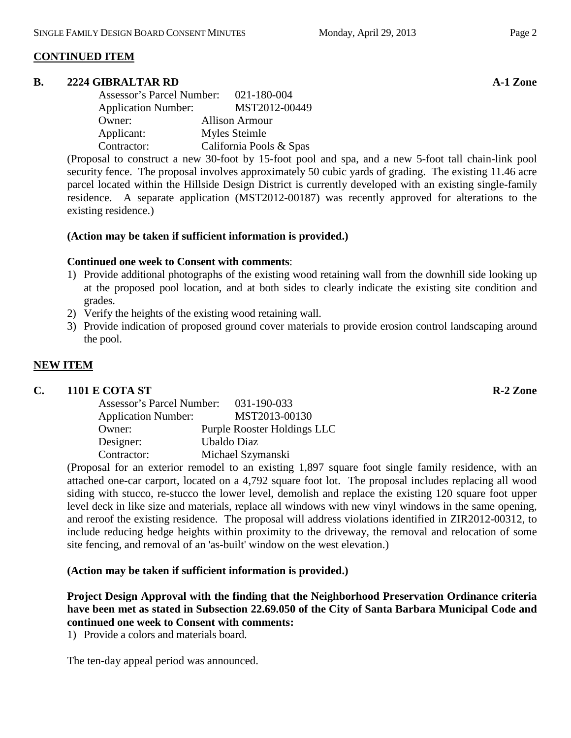### **CONTINUED ITEM**

#### **B. 2224 GIBRALTAR RD A-1 Zone**

| Assessor's Parcel Number:  | 021-180-004             |
|----------------------------|-------------------------|
| <b>Application Number:</b> | MST2012-00449           |
| Owner:                     | <b>Allison Armour</b>   |
| Applicant:                 | Myles Steimle           |
| Contractor:                | California Pools & Spas |

(Proposal to construct a new 30-foot by 15-foot pool and spa, and a new 5-foot tall chain-link pool security fence. The proposal involves approximately 50 cubic yards of grading. The existing 11.46 acre parcel located within the Hillside Design District is currently developed with an existing single-family residence. A separate application (MST2012-00187) was recently approved for alterations to the existing residence.)

#### **(Action may be taken if sufficient information is provided.)**

#### **Continued one week to Consent with comments**:

- 1) Provide additional photographs of the existing wood retaining wall from the downhill side looking up at the proposed pool location, and at both sides to clearly indicate the existing site condition and grades.
- 2) Verify the heights of the existing wood retaining wall.
- 3) Provide indication of proposed ground cover materials to provide erosion control landscaping around the pool.

#### **NEW ITEM**

#### **C. 1101 E COTA ST R-2 Zone**

| <b>Assessor's Parcel Number:</b> | 031-190-033                 |
|----------------------------------|-----------------------------|
| <b>Application Number:</b>       | MST2013-00130               |
| Owner:                           | Purple Rooster Holdings LLC |
| Designer:                        | Ubaldo Diaz                 |
| Contractor:                      | Michael Szymanski           |

(Proposal for an exterior remodel to an existing 1,897 square foot single family residence, with an attached one-car carport, located on a 4,792 square foot lot. The proposal includes replacing all wood siding with stucco, re-stucco the lower level, demolish and replace the existing 120 square foot upper level deck in like size and materials, replace all windows with new vinyl windows in the same opening, and reroof the existing residence. The proposal will address violations identified in ZIR2012-00312, to include reducing hedge heights within proximity to the driveway, the removal and relocation of some site fencing, and removal of an 'as-built' window on the west elevation.)

#### **(Action may be taken if sufficient information is provided.)**

**Project Design Approval with the finding that the Neighborhood Preservation Ordinance criteria have been met as stated in Subsection 22.69.050 of the City of Santa Barbara Municipal Code and continued one week to Consent with comments:**

1) Provide a colors and materials board.

The ten-day appeal period was announced.